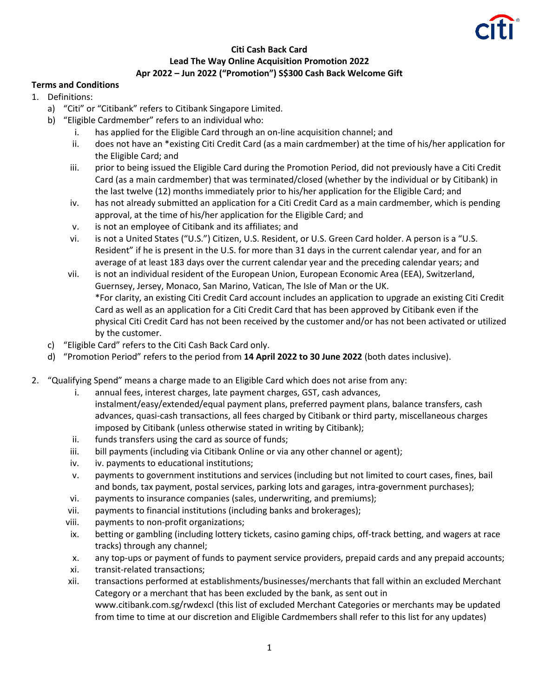

## **Citi Cash Back Card Lead The Way Online Acquisition Promotion 2022 Apr 2022 – Jun 2022 ("Promotion") S\$300 Cash Back Welcome Gift**

## **Terms and Conditions**

- 1. Definitions:
	- a) "Citi" or "Citibank" refers to Citibank Singapore Limited.
	- b) "Eligible Cardmember" refers to an individual who:
		- i. has applied for the Eligible Card through an on-line acquisition channel; and
		- ii. does not have an \*existing Citi Credit Card (as a main cardmember) at the time of his/her application for the Eligible Card; and
		- iii. prior to being issued the Eligible Card during the Promotion Period, did not previously have a Citi Credit Card (as a main cardmember) that was terminated/closed (whether by the individual or by Citibank) in the last twelve (12) months immediately prior to his/her application for the Eligible Card; and
		- iv. has not already submitted an application for a Citi Credit Card as a main cardmember, which is pending approval, at the time of his/her application for the Eligible Card; and
		- v. is not an employee of Citibank and its affiliates; and
		- vi. is not a United States ("U.S.") Citizen, U.S. Resident, or U.S. Green Card holder. A person is a "U.S. Resident" if he is present in the U.S. for more than 31 days in the current calendar year, and for an average of at least 183 days over the current calendar year and the preceding calendar years; and
		- vii. is not an individual resident of the European Union, European Economic Area (EEA), Switzerland, Guernsey, Jersey, Monaco, San Marino, Vatican, The Isle of Man or the UK. \*For clarity, an existing Citi Credit Card account includes an application to upgrade an existing Citi Credit Card as well as an application for a Citi Credit Card that has been approved by Citibank even if the physical Citi Credit Card has not been received by the customer and/or has not been activated or utilized by the customer.
	- c) "Eligible Card" refers to the Citi Cash Back Card only.
	- d) "Promotion Period" refers to the period from **14 April 2022 to 30 June 2022** (both dates inclusive).
- 2. "Qualifying Spend" means a charge made to an Eligible Card which does not arise from any:
	- i. annual fees, interest charges, late payment charges, GST, cash advances, instalment/easy/extended/equal payment plans, preferred payment plans, balance transfers, cash advances, quasi-cash transactions, all fees charged by Citibank or third party, miscellaneous charges imposed by Citibank (unless otherwise stated in writing by Citibank);
	- ii. funds transfers using the card as source of funds;
	- iii. bill payments (including via Citibank Online or via any other channel or agent);
	- iv. iv. payments to educational institutions;
	- v. payments to government institutions and services (including but not limited to court cases, fines, bail and bonds, tax payment, postal services, parking lots and garages, intra-government purchases);
	- vi. payments to insurance companies (sales, underwriting, and premiums);
	- vii. payments to financial institutions (including banks and brokerages);
	- viii. payments to non-profit organizations;
	- ix. betting or gambling (including lottery tickets, casino gaming chips, off-track betting, and wagers at race tracks) through any channel;
	- x. any top-ups or payment of funds to payment service providers, prepaid cards and any prepaid accounts;
	- xi. transit-related transactions;
	- xii. transactions performed at establishments/businesses/merchants that fall within an excluded Merchant Category or a merchant that has been excluded by the bank, as sent out in www.citibank.com.sg/rwdexcl (this list of excluded Merchant Categories or merchants may be updated from time to time at our discretion and Eligible Cardmembers shall refer to this list for any updates)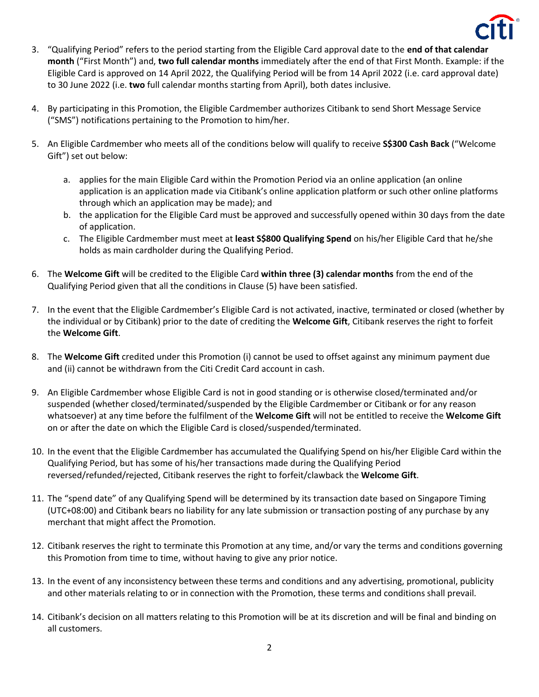

- 3. "Qualifying Period" refers to the period starting from the Eligible Card approval date to the **end of that calendar month** ("First Month") and, **two full calendar months** immediately after the end of that First Month. Example: if the Eligible Card is approved on 14 April 2022, the Qualifying Period will be from 14 April 2022 (i.e. card approval date) to 30 June 2022 (i.e. **two** full calendar months starting from April), both dates inclusive.
- 4. By participating in this Promotion, the Eligible Cardmember authorizes Citibank to send Short Message Service ("SMS") notifications pertaining to the Promotion to him/her.
- 5. An Eligible Cardmember who meets all of the conditions below will qualify to receive **S\$300 Cash Back** ("Welcome Gift") set out below:
	- a. applies for the main Eligible Card within the Promotion Period via an online application (an online application is an application made via Citibank's online application platform or such other online platforms through which an application may be made); and
	- b. the application for the Eligible Card must be approved and successfully opened within 30 days from the date of application.
	- c. The Eligible Cardmember must meet at **least S\$800 Qualifying Spend** on his/her Eligible Card that he/she holds as main cardholder during the Qualifying Period.
- 6. The **Welcome Gift** will be credited to the Eligible Card **within three (3) calendar months** from the end of the Qualifying Period given that all the conditions in Clause (5) have been satisfied.
- 7. In the event that the Eligible Cardmember's Eligible Card is not activated, inactive, terminated or closed (whether by the individual or by Citibank) prior to the date of crediting the **Welcome Gift**, Citibank reserves the right to forfeit the **Welcome Gift**.
- 8. The **Welcome Gift** credited under this Promotion (i) cannot be used to offset against any minimum payment due and (ii) cannot be withdrawn from the Citi Credit Card account in cash.
- 9. An Eligible Cardmember whose Eligible Card is not in good standing or is otherwise closed/terminated and/or suspended (whether closed/terminated/suspended by the Eligible Cardmember or Citibank or for any reason whatsoever) at any time before the fulfilment of the **Welcome Gift** will not be entitled to receive the **Welcome Gift** on or after the date on which the Eligible Card is closed/suspended/terminated.
- 10. In the event that the Eligible Cardmember has accumulated the Qualifying Spend on his/her Eligible Card within the Qualifying Period, but has some of his/her transactions made during the Qualifying Period reversed/refunded/rejected, Citibank reserves the right to forfeit/clawback the **Welcome Gift**.
- 11. The "spend date" of any Qualifying Spend will be determined by its transaction date based on Singapore Timing (UTC+08:00) and Citibank bears no liability for any late submission or transaction posting of any purchase by any merchant that might affect the Promotion.
- 12. Citibank reserves the right to terminate this Promotion at any time, and/or vary the terms and conditions governing this Promotion from time to time, without having to give any prior notice.
- 13. In the event of any inconsistency between these terms and conditions and any advertising, promotional, publicity and other materials relating to or in connection with the Promotion, these terms and conditions shall prevail.
- 14. Citibank's decision on all matters relating to this Promotion will be at its discretion and will be final and binding on all customers.